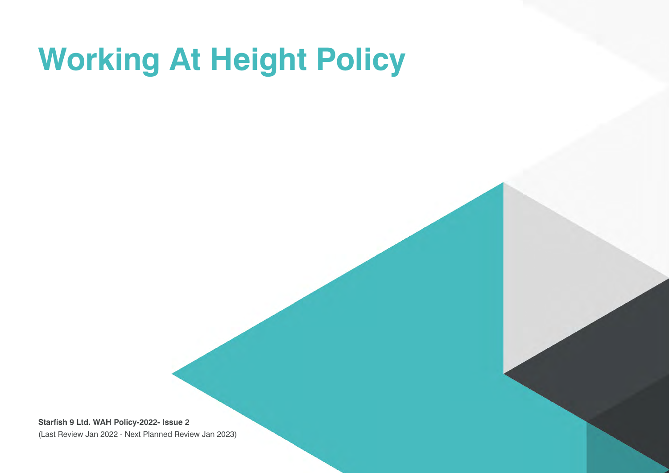# **Working At Height Policy**

**Starfish 9 Ltd. WAH Policy-2022- Issue 2**  (Last Review Jan 2022 - Next Planned Review Jan 2023)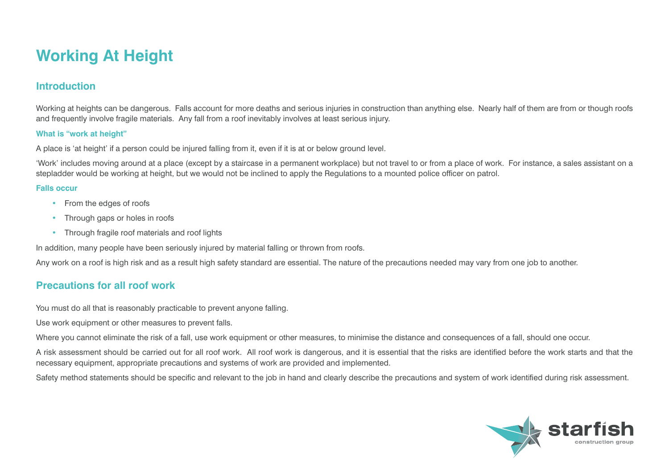# **Working At Height**

# **Introduction**

Working at heights can be dangerous. Falls account for more deaths and serious injuries in construction than anything else. Nearly half of them are from or though roofs and frequently involve fragile materials. Any fall from a roof inevitably involves at least serious injury.

#### **What is "work at height"**

A place is 'at height' if a person could be injured falling from it, even if it is at or below ground level.

'Work' includes moving around at a place (except by a staircase in a permanent workplace) but not travel to or from a place of work. For instance, a sales assistant on a stepladder would be working at height, but we would not be inclined to apply the Regulations to a mounted police officer on patrol.

#### **Falls occur**

- From the edges of roofs
- Through gaps or holes in roofs
- Through fragile roof materials and roof lights

In addition, many people have been seriously injured by material falling or thrown from roofs.

Any work on a roof is high risk and as a result high safety standard are essential. The nature of the precautions needed may vary from one job to another.

# **Precautions for all roof work**

You must do all that is reasonably practicable to prevent anyone falling.

Use work equipment or other measures to prevent falls.

Where you cannot eliminate the risk of a fall, use work equipment or other measures, to minimise the distance and consequences of a fall, should one occur.

A risk assessment should be carried out for all roof work. All roof work is dangerous, and it is essential that the risks are identified before the work starts and that the necessary equipment, appropriate precautions and systems of work are provided and implemented.

Safety method statements should be specific and relevant to the job in hand and clearly describe the precautions and system of work identified during risk assessment.

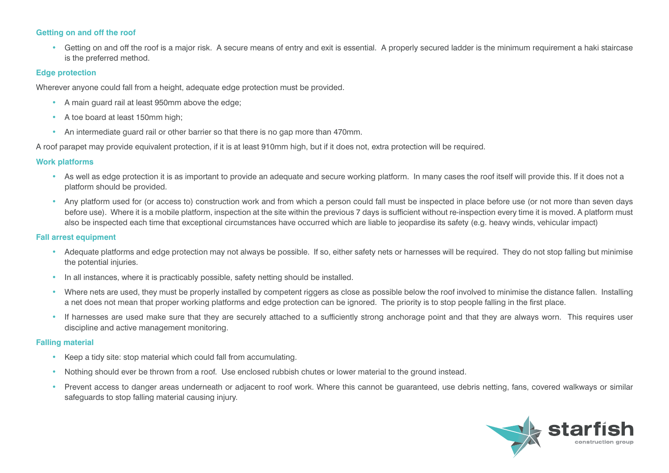#### **Getting on and off the roof**

• Getting on and off the roof is a major risk. A secure means of entry and exit is essential. A properly secured ladder is the minimum requirement a haki staircase is the preferred method.

#### **Edge protection**

Wherever anyone could fall from a height, adequate edge protection must be provided.

- A main guard rail at least 950mm above the edge;
- A toe board at least 150mm high;
- An intermediate guard rail or other barrier so that there is no gap more than 470mm.

A roof parapet may provide equivalent protection, if it is at least 910mm high, but if it does not, extra protection will be required.

#### **Work platforms**

- As well as edge protection it is as important to provide an adequate and secure working platform. In many cases the roof itself will provide this. If it does not a platform should be provided.
- Any platform used for (or access to) construction work and from which a person could fall must be inspected in place before use (or not more than seven days before use). Where it is a mobile platform, inspection at the site within the previous 7 days is sufficient without re-inspection every time it is moved. A platform must also be inspected each time that exceptional circumstances have occurred which are liable to jeopardise its safety (e.g. heavy winds, vehicular impact)

#### **Fall arrest equipment**

- Adequate platforms and edge protection may not always be possible. If so, either safety nets or harnesses will be required. They do not stop falling but minimise the potential injuries.
- In all instances, where it is practicably possible, safety netting should be installed.
- Where nets are used, they must be properly installed by competent riggers as close as possible below the roof involved to minimise the distance fallen. Installing a net does not mean that proper working platforms and edge protection can be ignored. The priority is to stop people falling in the first place.
- If harnesses are used make sure that they are securely attached to a sufficiently strong anchorage point and that they are always worn. This requires user discipline and active management monitoring.

#### **Falling material**

- Keep a tidy site: stop material which could fall from accumulating.
- Nothing should ever be thrown from a roof. Use enclosed rubbish chutes or lower material to the ground instead.
- Prevent access to danger areas underneath or adjacent to roof work. Where this cannot be guaranteed, use debris netting, fans, covered walkways or similar safeguards to stop falling material causing injury.